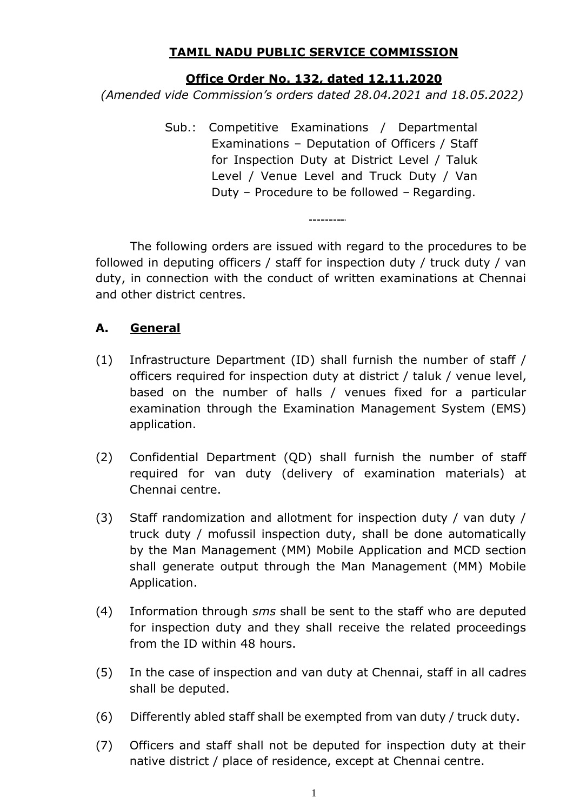# **TAMIL NADU PUBLIC SERVICE COMMISSION**

#### **Office Order No. 132, dated 12.11.2020**

*(Amended vide Commission's orders dated 28.04.2021 and 18.05.2022)*

Sub.: Competitive Examinations / Departmental Examinations – Deputation of Officers / Staff for Inspection Duty at District Level / Taluk Level / Venue Level and Truck Duty / Van Duty – Procedure to be followed – Regarding.

----------

The following orders are issued with regard to the procedures to be followed in deputing officers / staff for inspection duty / truck duty / van duty, in connection with the conduct of written examinations at Chennai and other district centres.

# **A. General**

- (1) Infrastructure Department (ID) shall furnish the number of staff / officers required for inspection duty at district / taluk / venue level, based on the number of halls / venues fixed for a particular examination through the Examination Management System (EMS) application.
- (2) Confidential Department (QD) shall furnish the number of staff required for van duty (delivery of examination materials) at Chennai centre.
- (3) Staff randomization and allotment for inspection duty / van duty / truck duty / mofussil inspection duty, shall be done automatically by the Man Management (MM) Mobile Application and MCD section shall generate output through the Man Management (MM) Mobile Application.
- (4) Information through *sms* shall be sent to the staff who are deputed for inspection duty and they shall receive the related proceedings from the ID within 48 hours.
- (5) In the case of inspection and van duty at Chennai, staff in all cadres shall be deputed.
- (6) Differently abled staff shall be exempted from van duty / truck duty.
- (7) Officers and staff shall not be deputed for inspection duty at their native district / place of residence, except at Chennai centre.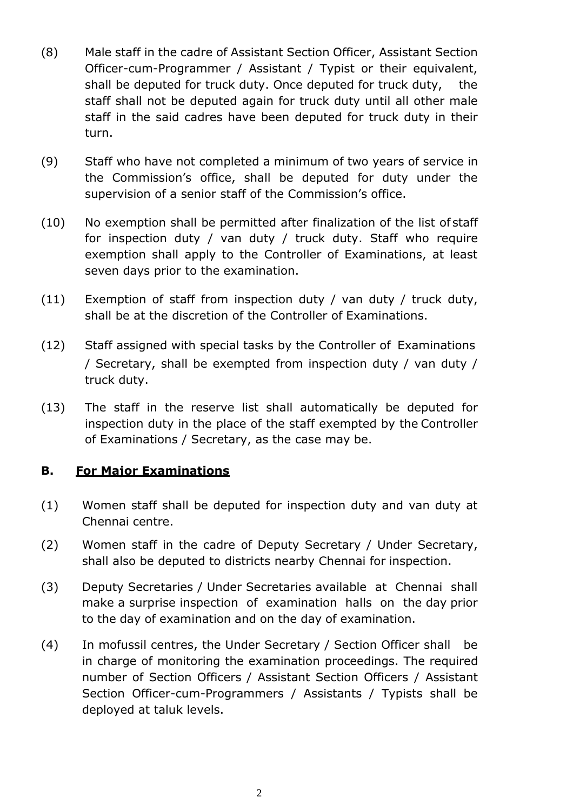- (8) Male staff in the cadre of Assistant Section Officer, Assistant Section Officer-cum-Programmer / Assistant / Typist or their equivalent, shall be deputed for truck duty. Once deputed for truck duty, the staff shall not be deputed again for truck duty until all other male staff in the said cadres have been deputed for truck duty in their turn.
- (9) Staff who have not completed a minimum of two years of service in the Commission's office, shall be deputed for duty under the supervision of a senior staff of the Commission's office.
- (10) No exemption shall be permitted after finalization of the list of staff for inspection duty / van duty / truck duty. Staff who require exemption shall apply to the Controller of Examinations, at least seven days prior to the examination.
- (11) Exemption of staff from inspection duty / van duty / truck duty, shall be at the discretion of the Controller of Examinations.
- (12) Staff assigned with special tasks by the Controller of Examinations / Secretary, shall be exempted from inspection duty / van duty / truck duty.
- (13) The staff in the reserve list shall automatically be deputed for inspection duty in the place of the staff exempted by the Controller of Examinations / Secretary, as the case may be.

# **B. For Major Examinations**

- (1) Women staff shall be deputed for inspection duty and van duty at Chennai centre.
- (2) Women staff in the cadre of Deputy Secretary / Under Secretary, shall also be deputed to districts nearby Chennai for inspection.
- (3) Deputy Secretaries / Under Secretaries available at Chennai shall make a surprise inspection of examination halls on the day prior to the day of examination and on the day of examination.
- (4) In mofussil centres, the Under Secretary / Section Officer shall be in charge of monitoring the examination proceedings. The required number of Section Officers / Assistant Section Officers / Assistant Section Officer-cum-Programmers / Assistants / Typists shall be deployed at taluk levels.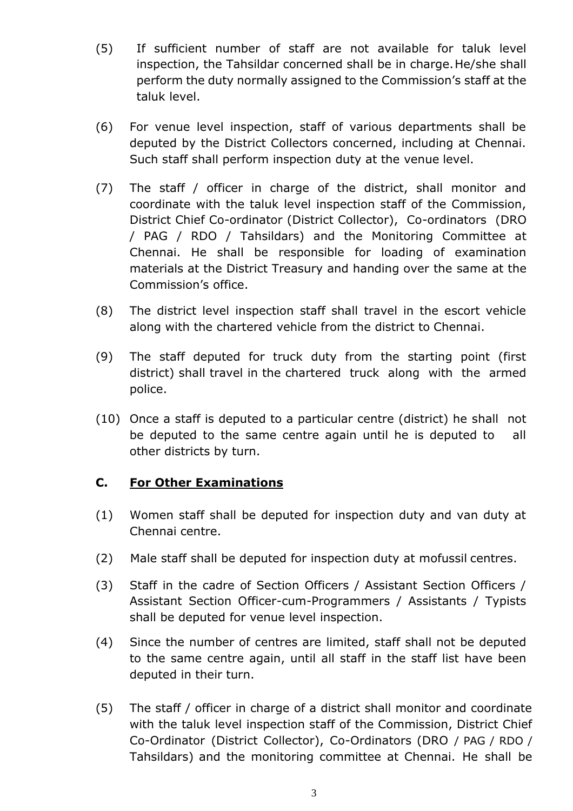- (5) If sufficient number of staff are not available for taluk level inspection, the Tahsildar concerned shall be in charge.He/she shall perform the duty normally assigned to the Commission's staff at the taluk level.
- (6) For venue level inspection, staff of various departments shall be deputed by the District Collectors concerned, including at Chennai. Such staff shall perform inspection duty at the venue level.
- (7) The staff / officer in charge of the district, shall monitor and coordinate with the taluk level inspection staff of the Commission, District Chief Co-ordinator (District Collector), Co-ordinators (DRO / PAG / RDO / Tahsildars) and the Monitoring Committee at Chennai. He shall be responsible for loading of examination materials at the District Treasury and handing over the same at the Commission's office.
- (8) The district level inspection staff shall travel in the escort vehicle along with the chartered vehicle from the district to Chennai.
- (9) The staff deputed for truck duty from the starting point (first district) shall travel in the chartered truck along with the armed police.
- (10) Once a staff is deputed to a particular centre (district) he shall not be deputed to the same centre again until he is deputed to all other districts by turn.

#### **C. For Other Examinations**

- (1) Women staff shall be deputed for inspection duty and van duty at Chennai centre.
- (2) Male staff shall be deputed for inspection duty at mofussil centres.
- (3) Staff in the cadre of Section Officers / Assistant Section Officers / Assistant Section Officer-cum-Programmers / Assistants / Typists shall be deputed for venue level inspection.
- (4) Since the number of centres are limited, staff shall not be deputed to the same centre again, until all staff in the staff list have been deputed in their turn.
- (5) The staff / officer in charge of a district shall monitor and coordinate with the taluk level inspection staff of the Commission, District Chief Co-Ordinator (District Collector), Co-Ordinators (DRO / PAG / RDO / Tahsildars) and the monitoring committee at Chennai. He shall be